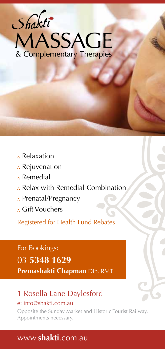

- Relaxation
- : Rejuvenation
- Remedial
- Relax with Remedial Combination
- : Prenatal/Pregnancy
- Gift Vouchers

Registered for Health Fund Rebates

# For Bookings:

#### 03 **5348 1629**

**Premashakti Chapman** Dip. RMT

## 1 Rosella Lane Daylesford

#### e: info@shakti.com.au

Opposite the Sunday Market and Historic Tourist Railway. Appointments necessary.

## www.**shakti**.com.au